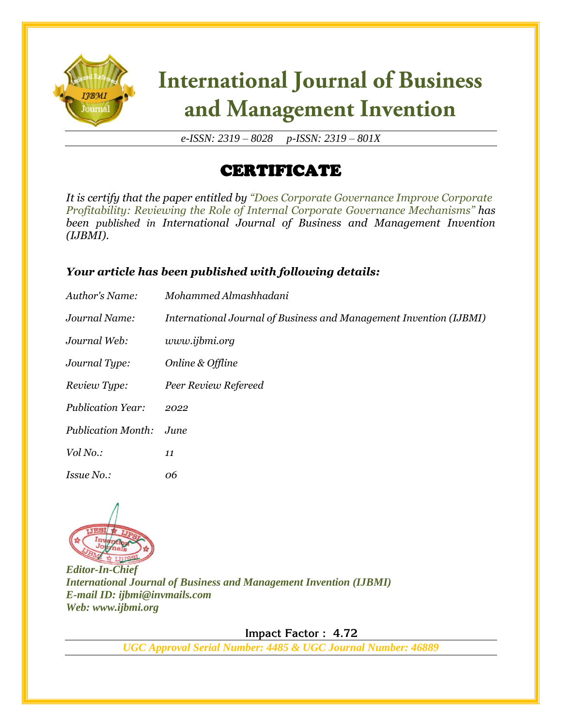

# **International Journal of Business** and Management Invention

*e-ISSN: 2319 – 8028 p-ISSN: 2319 – 801X*

## CERTIFICATE

*It is certify that the paper entitled by "Does Corporate Governance Improve Corporate Profitability: Reviewing the Role of Internal Corporate Governance Mechanisms" has been published in International Journal of Business and Management Invention (IJBMI).*

### *Your article has been published with following details:*

| Author's Name:            | Mohammed Almashhadani                                              |
|---------------------------|--------------------------------------------------------------------|
| Journal Name:             | International Journal of Business and Management Invention (IJBMI) |
| Journal Web:              | www.ijbmi.org                                                      |
| Journal Type:             | Online & Offline                                                   |
| Review Type:              | Peer Review Refereed                                               |
| <b>Publication Year:</b>  | 2022                                                               |
| <b>Publication Month:</b> | June.                                                              |
| Vol No.:                  | 11                                                                 |
| <i>Issue No.:</i>         | 06                                                                 |



*Editor-In-Chief International Journal of Business and Management Invention (IJBMI) E-mail ID: ijbmi@invmails.com Web: www.ijbmi.org*

 **Impact Factor : 4.72** 

*UGC Approval Serial Number: 4485 & UGC Journal Number: 46889*